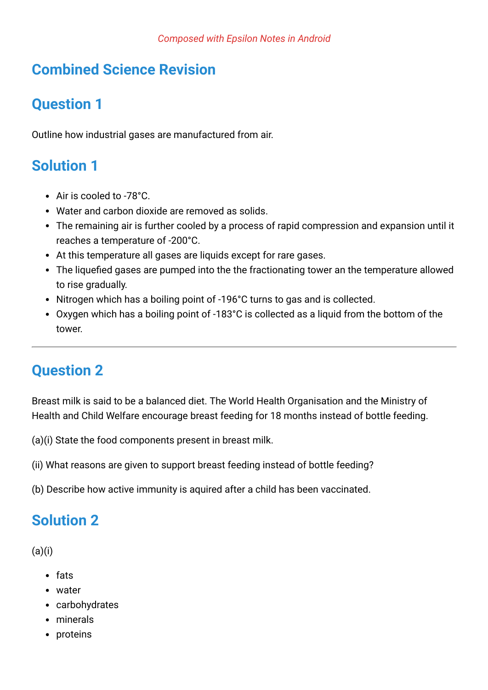## **Combined Science Revision**

## **Question 1**

Outline how industrial gases are manufactured from air.

## **Solution 1**

- Air is cooled to -78°C.
- Water and carbon dioxide are removed as solids.
- The remaining air is further cooled by a process of rapid compression and expansion until it reaches a temperature of -200°C.
- At this temperature all gases are liquids except for rare gases.
- The liquefied gases are pumped into the the fractionating tower an the temperature allowed to rise gradually.
- Nitrogen which has a boiling point of -196°C turns to gas and is collected.
- Oxygen which has a boiling point of -183°C is collected as a liquid from the bottom of the tower.

### **Question 2**

Breast milk is said to be a balanced diet. The World Health Organisation and the Ministry of Health and Child Welfare encourage breast feeding for 18 months instead of bottle feeding.

(a)(i) State the food components present in breast milk.

(ii) What reasons are given to support breast feeding instead of bottle feeding?

(b) Describe how active immunity is aquired after a child has been vaccinated.

## **Solution 2**

 $(a)(i)$ 

- fats
- water
- carbohydrates
- minerals
- proteins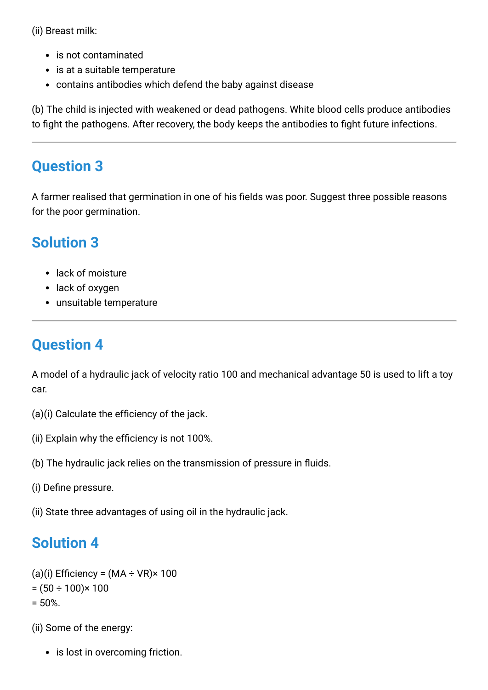(ii) Breast milk:

- is not contaminated
- is at a suitable temperature
- contains antibodies which defend the baby against disease

(b) The child is injected with weakened or dead pathogens. White blood cells produce antibodies to fight the pathogens. After recovery, the body keeps the antibodies to fight future infections.

#### **Question 3**

A farmer realised that germination in one of his fields was poor. Suggest three possible reasons for the poor germination.

## **Solution 3**

- lack of moisture
- lack of oxygen
- unsuitable temperature

## **Question 4**

A model of a hydraulic jack of velocity ratio 100 and mechanical advantage 50 is used to lift a toy car.

- (a)(i) Calculate the efficiency of the jack.
- (ii) Explain why the efficiency is not 100%.
- (b) The hydraulic jack relies on the transmission of pressure in fluids.
- (i) Define pressure.
- (ii) State three advantages of using oil in the hydraulic jack.

### **Solution 4**

```
(a)(i) Efficiency = (MA \div VR) \times 100= (50 \div 100) \times 100= 50%
```
(ii) Some of the energy:

• is lost in overcoming friction.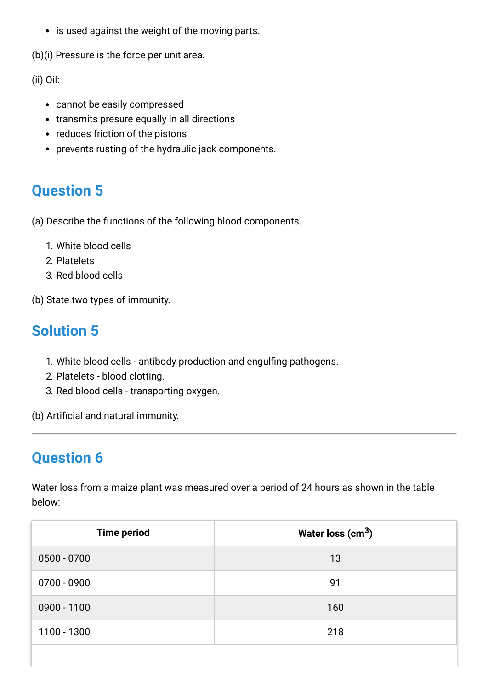• is used against the weight of the moving parts.

(b)(i) Pressure is the force per unit area.

(ii) Oil:

- cannot be easily compressed
- transmits presure equally in all directions
- reduces friction of the pistons
- prevents rusting of the hydraulic jack components.

#### **Question 5**

(a) Describe the functions of the following blood components.

- 1. White blood cells
- 2. Platelets
- 3. Red blood cells

(b) State two types of immunity.

### **Solution 5**

- 1. White blood cells antibody production and engulfing pathogens.
- 2. Platelets blood clotting.
- 3. Red blood cells transporting oxygen.

(b) Artificial and natural immunity.

### **Question 6**

Water loss from a maize plant was measured over a period of 24 hours as shown in the table below:

| <b>Time period</b> | Water loss $\rm (cm^3)$ |
|--------------------|-------------------------|
| $0500 - 0700$      | 13                      |
| $0700 - 0900$      | 91                      |
| $0900 - 1100$      | 160                     |
| 1100 - 1300        | 218                     |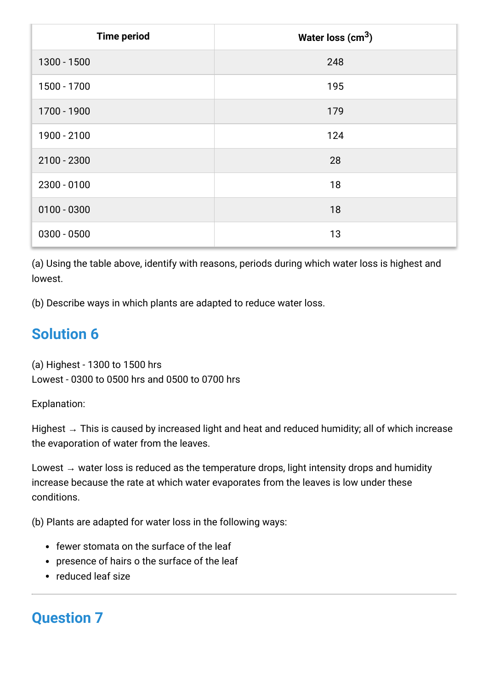| <b>Time period</b> | Water loss $(cm3)$ |
|--------------------|--------------------|
| 1300 - 1500        | 248                |
| 1500 - 1700        | 195                |
| 1700 - 1900        | 179                |
| 1900 - 2100        | 124                |
| 2100 - 2300        | 28                 |
| $2300 - 0100$      | 18                 |
| $0100 - 0300$      | 18                 |
| $0300 - 0500$      | 13                 |

(a) Using the table above, identify with reasons, periods during which water loss is highest and lowest.

(b) Describe ways in which plants are adapted to reduce water loss.

## **Solution 6**

(a) Highest - 1300 to 1500 hrs Lowest - 0300 to 0500 hrs and 0500 to 0700 hrs

Explanation:

Highest  $\rightarrow$  This is caused by increased light and heat and reduced humidity; all of which increase the evaporation of water from the leaves.

Lowest  $\rightarrow$  water loss is reduced as the temperature drops, light intensity drops and humidity increase because the rate at which water evaporates from the leaves is low under these conditions.

(b) Plants are adapted for water loss in the following ways:

- fewer stomata on the surface of the leaf
- presence of hairs o the surface of the leaf
- reduced leaf size

# **Question 7**